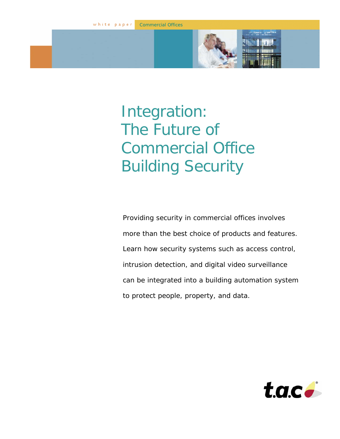Commercial Offices

# Integration: The Future of Commercial Office Building Security

Providing security in commercial offices involves more than the best choice of products and features. Learn how security systems such as access control, intrusion detection, and digital video surveillance can be integrated into a building automation system to protect people, property, and data.

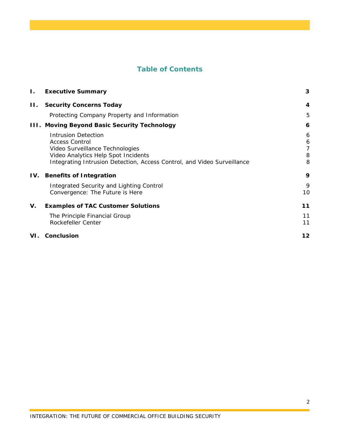# **Table of Contents**

| Ι.  | <b>Executive Summary</b>                                                                                                                                                                                 | 3                     |
|-----|----------------------------------------------------------------------------------------------------------------------------------------------------------------------------------------------------------|-----------------------|
| Н.  | <b>Security Concerns Today</b>                                                                                                                                                                           | $\boldsymbol{4}$      |
|     | Protecting Company Property and Information                                                                                                                                                              | 5                     |
|     | III. Moving Beyond Basic Security Technology                                                                                                                                                             | 6                     |
|     | <b>Intrusion Detection</b><br><b>Access Control</b><br>Video Surveillance Technologies<br>Video Analytics Help Spot Incidents<br>Integrating Intrusion Detection, Access Control, and Video Surveillance | 6<br>6<br>7<br>8<br>8 |
| IV. | <b>Benefits of Integration</b>                                                                                                                                                                           | 9                     |
|     | Integrated Security and Lighting Control<br>Convergence: The Future is Here                                                                                                                              | 9<br>10               |
| V.  | <b>Examples of TAC Customer Solutions</b>                                                                                                                                                                | 11                    |
|     | The Principle Financial Group<br>Rockefeller Center                                                                                                                                                      | 11<br>11              |
| VI. | <b>Conclusion</b>                                                                                                                                                                                        | 12                    |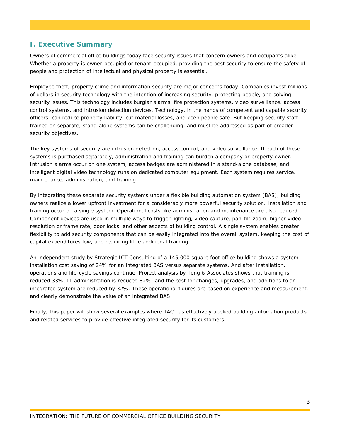# **I. Executive Summary**

Owners of commercial office buildings today face security issues that concern owners and occupants alike. Whether a property is owner-occupied or tenant-occupied, providing the best security to ensure the safety of people and protection of intellectual and physical property is essential.

Employee theft, property crime and information security are major concerns today. Companies invest millions of dollars in security technology with the intention of increasing security, protecting people, and solving security issues. This technology includes burglar alarms, fire protection systems, video surveillance, access control systems, and intrusion detection devices. Technology, in the hands of competent and capable security officers, can reduce property liability, cut material losses, and keep people safe. But keeping security staff trained on separate, stand-alone systems can be challenging, and must be addressed as part of broader security objectives.

The key systems of security are intrusion detection, access control, and video surveillance. If each of these systems is purchased separately, administration and training can burden a company or property owner. Intrusion alarms occur on one system, access badges are administered in a stand-alone database, and intelligent digital video technology runs on dedicated computer equipment. Each system requires service, maintenance, administration, and training.

By integrating these separate security systems under a flexible building automation system (BAS), building owners realize a lower upfront investment for a considerably more powerful security solution. Installation and training occur on a single system. Operational costs like administration and maintenance are also reduced. Component devices are used in multiple ways to trigger lighting, video capture, pan-tilt-zoom, higher video resolution or frame rate, door locks, and other aspects of building control. A single system enables greater flexibility to add security components that can be easily integrated into the overall system, keeping the cost of capital expenditures low, and requiring little additional training.

An independent study by Strategic ICT Consulting of a 145,000 square foot office building shows a system installation cost saving of 24% for an integrated BAS versus separate systems. And after installation, operations and life-cycle savings continue. Project analysis by Teng & Associates shows that training is reduced 33%, IT administration is reduced 82%, and the cost for changes, upgrades, and additions to an integrated system are reduced by 32%. These operational figures are based on experience and measurement, and clearly demonstrate the value of an integrated BAS.

Finally, this paper will show several examples where TAC has effectively applied building automation products and related services to provide effective integrated security for its customers.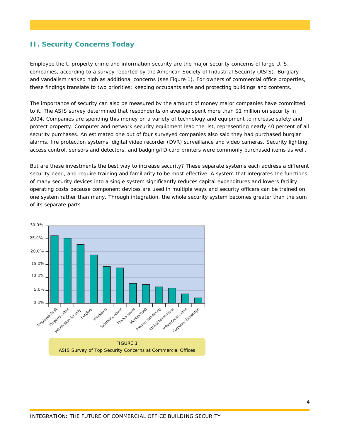# **II. Security Concerns Today**

Employee theft, property crime and information security are the major security concerns of large U. S. companies, according to a survey reported by the American Society of Industrial Security (ASIS). Burglary and vandalism ranked high as additional concerns (see Figure 1). For owners of commercial office properties, these findings translate to two priorities: keeping occupants safe and protecting buildings and contents.

The importance of security can also be measured by the amount of money major companies have committed to it. The ASIS survey determined that respondents on average spent more than \$1 million on security in 2004. Companies are spending this money on a variety of technology and equipment to increase safety and protect property. Computer and network security equipment lead the list, representing nearly 40 percent of all security purchases. An estimated one out of four surveyed companies also said they had purchased burglar alarms, fire protection systems, digital video recorder (DVR) surveillance and video cameras. Security lighting, access control, sensors and detectors, and badging/ID card printers were commonly purchased items as well.

But are these investments the best way to increase security? These separate systems each address a different security need, and require training and familiarity to be most effective. A system that integrates the functions of many security devices into a single system significantly reduces capital expenditures and lowers facility operating costs because component devices are used in multiple ways and security officers can be trained on one system rather than many. Through integration, the whole security system becomes greater than the sum of its separate parts.

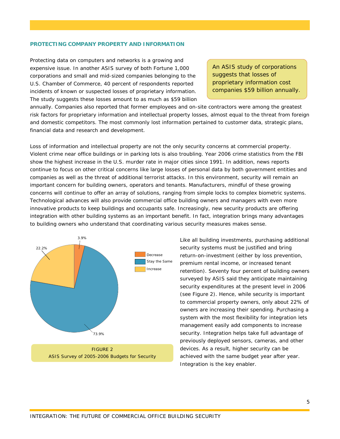#### **PROTECTING COMPANY PROPERTY AND INFORMATION**

Protecting data on computers and networks is a growing and expensive issue. In another ASIS survey of both Fortune 1,000 corporations and small and mid-sized companies belonging to the U.S. Chamber of Commerce, 40 percent of respondents reported incidents of known or suspected losses of proprietary information. The study suggests these losses amount to as much as \$59 billion

*An ASIS study of corporations suggests that losses of proprietary information cost companies \$59 billion annually.* 

annually. Companies also reported that former employees and on-site contractors were among the greatest risk factors for proprietary information and intellectual property losses, almost equal to the threat from foreign and domestic competitors. The most commonly lost information pertained to customer data, strategic plans, financial data and research and development.

Loss of information and intellectual property are not the only security concerns at commercial property. Violent crime near office buildings or in parking lots is also troubling. Year 2006 crime statistics from the FBI show the highest increase in the U.S. murder rate in major cities since 1991. In addition, news reports continue to focus on other critical concerns like large losses of personal data by both government entities and companies as well as the threat of additional terrorist attacks. In this environment, security will remain an important concern for building owners, operators and tenants. Manufacturers, mindful of these growing concerns will continue to offer an array of solutions, ranging from simple locks to complex biometric systems. Technological advances will also provide commercial office building owners and managers with even more innovative products to keep buildings and occupants safe. Increasingly, new security products are offering integration with other building systems as an important benefit. In fact, integration brings many advantages to building owners who understand that coordinating various security measures makes sense.



Like all building investments, purchasing additional security systems must be justified and bring return-on-investment (either by loss prevention, premium rental income, or increased tenant retention). Seventy four percent of building owners surveyed by ASIS said they anticipate maintaining security expenditures at the present level in 2006 (see Figure 2). Hence, while security is important to commercial property owners, only about 22% of owners are increasing their spending. Purchasing a system with the most flexibility for integration lets management easily add components to increase security. Integration helps take full advantage of previously deployed sensors, cameras, and other devices. As a result, higher security can be achieved with the same budget year after year. Integration is the key enabler.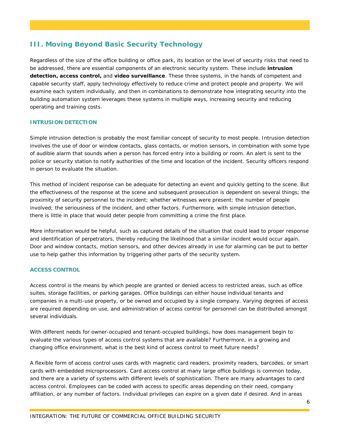# **III. Moving Beyond Basic Security Technology**

Regardless of the size of the office building or office park, its location or the level of security risks that need to be addressed, there are essential components of an electronic security system. These include **intrusion detection, access control,** and **video surveillance**. These three systems, in the hands of competent and capable security staff, apply technology effectively to reduce crime and protect people and property. We will examine each system individually, and then in combinations to demonstrate how integrating security into the building automation system leverages these systems in multiple ways, increasing security and reducing operating and training costs.

## **INTRUSION DETECTION**

Simple intrusion detection is probably the most familiar concept of security to most people. Intrusion detection involves the use of door or window contacts, glass contacts, or motion sensors, in combination with some type of audible alarm that sounds when a person has forced entry into a building or room. An alert is sent to the police or security station to notify authorities of the time and location of the incident. Security officers respond in person to evaluate the situation.

This method of incident response can be adequate for detecting an event and quickly getting to the scene. But the effectiveness of the response at the scene and subsequent prosecution is dependent on several things; the proximity of security personnel to the incident; whether witnesses were present; the number of people involved; the seriousness of the incident, and other factors. Furthermore, with simple intrusion detection, there is little in place that would deter people from committing a crime the first place.

More information would be helpful, such as captured details of the situation that could lead to proper response and identification of perpetrators, thereby reducing the likelihood that a similar incident would occur again. Door and window contacts, motion sensors, and other devices already in use for alarming can be put to better use to help gather this information by triggering other parts of the security system.

## **ACCESS CONTROL**

Access control is the means by which people are granted or denied access to restricted areas, such as office suites, storage facilities, or parking garages. Office buildings can either house individual tenants and companies in a multi-use property, or be owned and occupied by a single company. Varying degrees of access are required depending on use, and administration of access control for personnel can be distributed amongst several individuals.

With different needs for owner-occupied and tenant-occupied buildings, how does management begin to evaluate the various types of access control systems that are available? Furthermore, in a growing and changing office environment, what is the best kind of access control to meet future needs?

A flexible form of access control uses cards with magnetic card readers, proximity readers, barcodes, or smart cards with embedded microprocessors. Card access control at many large office buildings is common today, and there are a variety of systems with different levels of sophistication. There are many advantages to card access control. Employees can be coded with access to specific areas depending on their need, company affiliation, or any number of factors. Individual privileges can expire on a given date if desired. And in areas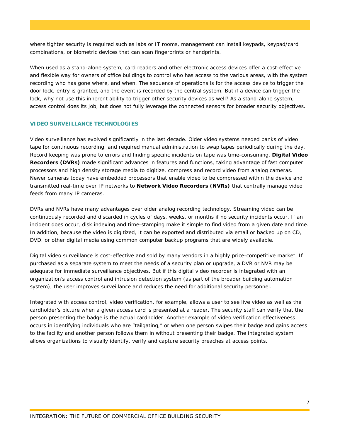where tighter security is required such as labs or IT rooms, management can install keypads, keypad/card combinations, or biometric devices that can scan fingerprints or handprints.

When used as a stand-alone system, card readers and other electronic access devices offer a cost-effective and flexible way for owners of office buildings to control who has access to the various areas, with the system recording who has gone where, and when. The sequence of operations is for the access device to trigger the door lock, entry is granted, and the event is recorded by the central system. But if a device can trigger the lock, why not use this inherent ability to trigger other security devices as well? As a stand-alone system, access control does its job, but does not fully leverage the connected sensors for broader security objectives.

### **VIDEO SURVEILLANCE TECHNOLOGIES**

Video surveillance has evolved significantly in the last decade. Older video systems needed banks of video tape for continuous recording, and required manual administration to swap tapes periodically during the day. Record keeping was prone to errors and finding specific incidents on tape was time-consuming. **Digital Video Recorders (DVRs)** made significant advances in features and functions, taking advantage of fast computer processors and high density storage media to digitize, compress and record video from analog cameras. Newer cameras today have embedded processors that enable video to be compressed within the device and transmitted real-time over IP networks to **Network Video Recorders (NVRs)** that centrally manage video feeds from many IP cameras.

DVRs and NVRs have many advantages over older analog recording technology. Streaming video can be continuously recorded and discarded in cycles of days, weeks, or months if no security incidents occur. If an incident does occur, disk indexing and time-stamping make it simple to find video from a given date and time. In addition, because the video is digitized, it can be exported and distributed via email or backed up on CD, DVD, or other digital media using common computer backup programs that are widely available.

Digital video surveillance is cost-effective and sold by many vendors in a highly price-competitive market. If purchased as a separate system to meet the needs of a security plan or upgrade, a DVR or NVR may be adequate for immediate surveillance objectives. But if this digital video recorder is integrated with an organization's access control and intrusion detection system (as part of the broader building automation system), the user improves surveillance and reduces the need for additional security personnel.

Integrated with access control, video verification, for example, allows a user to see live video as well as the cardholder's picture when a given access card is presented at a reader. The security staff can verify that the person presenting the badge is the actual cardholder. Another example of video verification effectiveness occurs in identifying individuals who are "tailgating," or when one person swipes their badge and gains access to the facility and another person follows them in without presenting their badge. The integrated system allows organizations to visually identify, verify and capture security breaches at access points.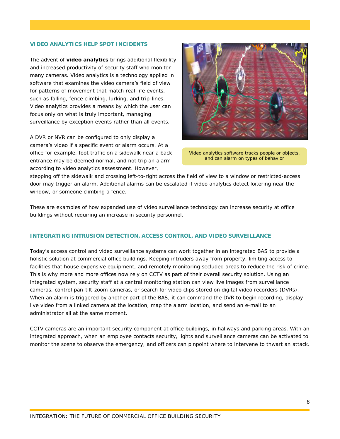## **VIDEO ANALYTICS HELP SPOT INCIDENTS**

The advent of **video analytics** brings additional flexibility and increased productivity of security staff who monitor many cameras. Video analytics is a technology applied in software that examines the video camera's field of view for patterns of movement that match real-life events, such as falling, fence climbing, lurking, and trip-lines. Video analytics provides a means by which the user can focus only on what is truly important, managing surveillance by exception events rather than all events.

A DVR or NVR can be configured to only display a camera's video if a specific event or alarm occurs. At a office for example, foot traffic on a sidewalk near a back entrance may be deemed normal, and not trip an alarm according to video analytics assessment. However,



Video analytics software tracks people or objects, and can alarm on types of behavior

stepping off the sidewalk and crossing left-to-right across the field of view to a window or restricted-access door may trigger an alarm. Additional alarms can be escalated if video analytics detect loitering near the window, or someone climbing a fence.

These are examples of how expanded use of video surveillance technology can increase security at office buildings without requiring an increase in security personnel.

## **INTEGRATING INTRUSION DETECTION, ACCESS CONTROL, AND VIDEO SURVEILLANCE**

Today's access control and video surveillance systems can work together in an integrated BAS to provide a holistic solution at commercial office buildings. Keeping intruders away from property, limiting access to facilities that house expensive equipment, and remotely monitoring secluded areas to reduce the risk of crime. This is why more and more offices now rely on CCTV as part of their overall security solution. Using an integrated system, security staff at a central monitoring station can view live images from surveillance cameras, control pan-tilt-zoom cameras, or search for video clips stored on digital video recorders (DVRs). When an alarm is triggered by another part of the BAS, it can command the DVR to begin recording, display live video from a linked camera at the location, map the alarm location, and send an e-mail to an administrator all at the same moment.

CCTV cameras are an important security component at office buildings, in hallways and parking areas. With an integrated approach, when an employee contacts security, lights and surveillance cameras can be activated to monitor the scene to observe the emergency, and officers can pinpoint where to intervene to thwart an attack.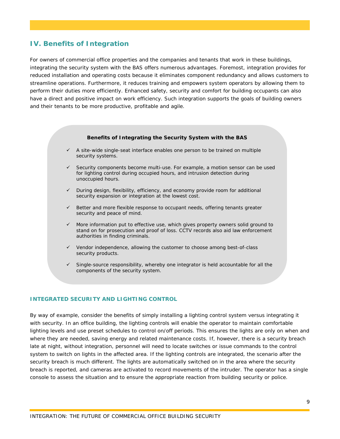# **IV. Benefits of Integration**

For owners of commercial office properties and the companies and tenants that work in these buildings, integrating the security system with the BAS offers numerous advantages. Foremost, integration provides for reduced installation and operating costs because it eliminates component redundancy and allows customers to streamline operations. Furthermore, it reduces training and empowers system operators by allowing them to perform their duties more efficiently. Enhanced safety, security and comfort for building occupants can also have a direct and positive impact on work efficiency. Such integration supports the goals of building owners and their tenants to be more productive, profitable and agile.

#### **Benefits of Integrating the Security System with the BAS**

- $\checkmark$  A site-wide single-seat interface enables one person to be trained on multiple security systems.
- $\checkmark$  Security components become multi-use. For example, a motion sensor can be used for lighting control during occupied hours, and intrusion detection during unoccupied hours.
- $\checkmark$  During design, flexibility, efficiency, and economy provide room for additional security expansion or integration at the lowest cost.
- $\checkmark$  Better and more flexible response to occupant needs, offering tenants greater security and peace of mind.
- $\checkmark$  More information put to effective use, which gives property owners solid ground to stand on for prosecution and proof of loss. CCTV records also aid law enforcement authorities in finding criminals.
- $\checkmark$  Vendor independence, allowing the customer to choose among best-of-class security products.
- $\checkmark$  Single-source responsibility, whereby one integrator is held accountable for all the components of the security system.

## **INTEGRATED SECURITY AND LIGHTING CONTROL**

By way of example, consider the benefits of simply installing a lighting control system versus integrating it with security. In an office building, the lighting controls will enable the operator to maintain comfortable lighting levels and use preset schedules to control on/off periods. This ensures the lights are only on when and where they are needed, saving energy and related maintenance costs. If, however, there is a security breach late at night, without integration, personnel will need to locate switches or issue commands to the control system to switch on lights in the affected area. If the lighting controls are integrated, the scenario after the security breach is much different. The lights are automatically switched on in the area where the security breach is reported, and cameras are activated to record movements of the intruder. The operator has a single console to assess the situation and to ensure the appropriate reaction from building security or police.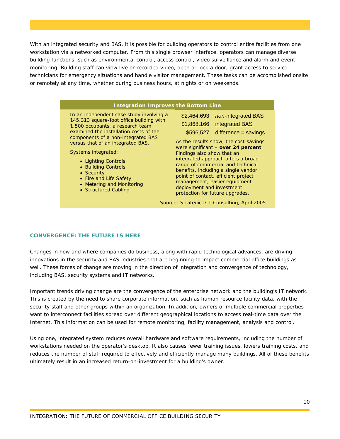With an integrated security and BAS, it is possible for building operators to control entire facilities from one workstation via a networked computer. From this single browser interface, operators can manage diverse building functions, such as environmental control, access control, video surveillance and alarm and event monitoring. Building staff can view live or recorded video, open or lock a door, grant access to service technicians for emergency situations and handle visitor management. These tasks can be accomplished onsite or remotely at any time, whether during business hours, at nights or on weekends.

| <b>Integration Improves the Bottom Line</b>                                                                                                                                                                                                                                                                                                                                                                     |                                                                                                                                                                                                                                                                                                                                                                                                                                                                                                                           |  |  |
|-----------------------------------------------------------------------------------------------------------------------------------------------------------------------------------------------------------------------------------------------------------------------------------------------------------------------------------------------------------------------------------------------------------------|---------------------------------------------------------------------------------------------------------------------------------------------------------------------------------------------------------------------------------------------------------------------------------------------------------------------------------------------------------------------------------------------------------------------------------------------------------------------------------------------------------------------------|--|--|
| In an independent case study involving a<br>145,313 square-foot office building with<br>1,500 occupants, a research team<br>examined the installation costs of the<br>components of a non-integrated BAS<br>versus that of an integrated BAS.<br>Systems integrated:<br>• Lighting Controls<br>• Building Controls<br>• Security<br>• Fire and Life Safety<br>• Metering and Monitoring<br>• Structured Cabling | non-integrated BAS<br>\$2,464,693<br>\$1,868,166 integrated BAS<br>$$596,527$ difference = savings<br>As the results show, the cost-savings<br>were significant - over 24 percent.<br>Findings also show that an<br>integrated approach offers a broad<br>range of commercial and technical<br>benefits, including a single vendor<br>point of contact, efficient project<br>management, easier equipment<br>deployment and investment<br>protection for future upgrades.<br>Source: Strategic ICT Consulting, April 2005 |  |  |

## **CONVERGENCE: THE FUTURE IS HERE**

Changes in how and where companies do business, along with rapid technological advances, are driving innovations in the security and BAS industries that are beginning to impact commercial office buildings as well. These forces of change are moving in the direction of integration and convergence of technology, including BAS, security systems and IT networks.

Important trends driving change are the convergence of the enterprise network and the building's IT network. This is created by the need to share corporate information, such as human resource facility data, with the security staff and other groups within an organization. In addition, owners of multiple commercial properties want to interconnect facilities spread over different geographical locations to access real-time data over the Internet. This information can be used for remote monitoring, facility management, analysis and control.

Using one, integrated system reduces overall hardware and software requirements, including the number of workstations needed on the operator's desktop. It also causes fewer training issues, lowers training costs, and reduces the number of staff required to effectively and efficiently manage many buildings. All of these benefits ultimately result in an increased return-on-investment for a building's owner.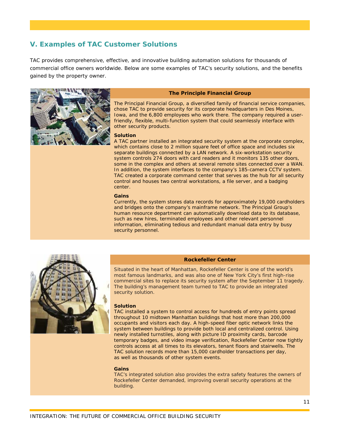# **V. Examples of TAC Customer Solutions**

TAC provides comprehensive, effective, and innovative building automation solutions for thousands of commercial office owners worldwide. Below are some examples of TAC's security solutions, and the benefits gained by the property owner.



#### **The Principle Financial Group**

The Principal Financial Group, a diversified family of financial service companies, chose TAC to provide security for its corporate headquarters in Des Moines, Iowa, and the 6,800 employees who work there. The company required a userfriendly, flexible, multi-function system that could seamlessly interface with other security products.

#### **Solution**

A TAC partner installed an integrated security system at the corporate complex, which contains close to 2 million square feet of office space and includes six separate buildings connected by a LAN network. A six-workstation security system controls 274 doors with card readers and it monitors 135 other doors, some in the complex and others at several remote sites connected over a WAN. In addition, the system interfaces to the company's 185-camera CCTV system. TAC created a corporate command center that serves as the hub for all security control and houses two central workstations, a file server, and a badging center.

#### **Gains**

Currently, the system stores data records for approximately 19,000 cardholders and bridges onto the company's mainframe network. The Principal Group's human resource department can automatically download data to its database, such as new hires, terminated employees and other relevant personnel information, eliminating tedious and redundant manual data entry by busy security personnel.



#### **Rockefeller Center**

Situated in the heart of Manhattan, Rockefeller Center is one of the world's most famous landmarks, and was also one of New York City's first high-rise commercial sites to replace its security system after the September 11 tragedy. The building's management team turned to TAC to provide an integrated security solution.

#### **Solution**

TAC installed a system to control access for hundreds of entry points spread throughout 10 midtown Manhattan buildings that host more than 200,000 occupants and visitors each day. A high-speed fiber optic network links the system between buildings to provide both local and centralized control. Using newly installed turnstiles, along with picture ID proximity cards, barcode temporary badges, and video image verification, Rockefeller Center now tightly controls access at all times to its elevators, tenant floors and stairwells. The TAC solution records more than 15,000 cardholder transactions per day, as well as thousands of other system events.

#### **Gains**

TAC's integrated solution also provides the extra safety features the owners of Rockefeller Center demanded, improving overall security operations at the building.